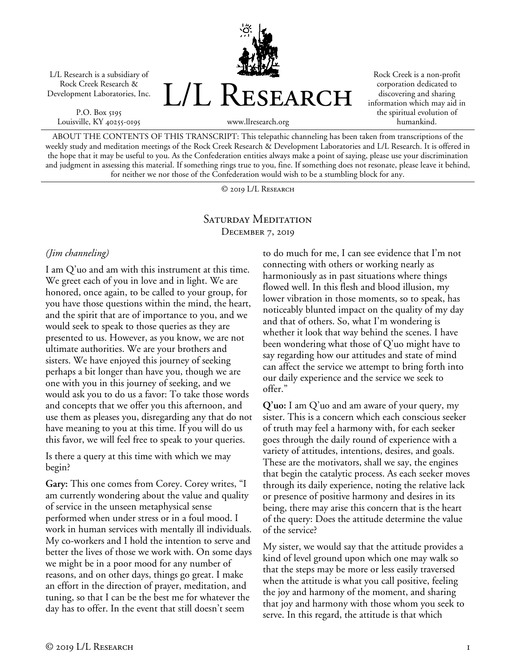L/L Research is a subsidiary of Rock Creek Research & Development Laboratories, Inc.

P.O. Box 5195 Louisville, KY 40255-0195 L/L RESEARCH

Rock Creek is a non-profit corporation dedicated to discovering and sharing information which may aid in the spiritual evolution of humankind.

www.llresearch.org

ABOUT THE CONTENTS OF THIS TRANSCRIPT: This telepathic channeling has been taken from transcriptions of the weekly study and meditation meetings of the Rock Creek Research & Development Laboratories and L/L Research. It is offered in the hope that it may be useful to you. As the Confederation entities always make a point of saying, please use your discrimination and judgment in assessing this material. If something rings true to you, fine. If something does not resonate, please leave it behind, for neither we nor those of the Confederation would wish to be a stumbling block for any.

© 2019 L/L Research

## SATURDAY MEDITATION December 7, 2019

## *(Jim channeling)*

I am Q'uo and am with this instrument at this time. We greet each of you in love and in light. We are honored, once again, to be called to your group, for you have those questions within the mind, the heart, and the spirit that are of importance to you, and we would seek to speak to those queries as they are presented to us. However, as you know, we are not ultimate authorities. We are your brothers and sisters. We have enjoyed this journey of seeking perhaps a bit longer than have you, though we are one with you in this journey of seeking, and we would ask you to do us a favor: To take those words and concepts that we offer you this afternoon, and use them as pleases you, disregarding any that do not have meaning to you at this time. If you will do us this favor, we will feel free to speak to your queries.

Is there a query at this time with which we may begin?

**Gary:** This one comes from Corey. Corey writes, "I am currently wondering about the value and quality of service in the unseen metaphysical sense performed when under stress or in a foul mood. I work in human services with mentally ill individuals. My co-workers and I hold the intention to serve and better the lives of those we work with. On some days we might be in a poor mood for any number of reasons, and on other days, things go great. I make an effort in the direction of prayer, meditation, and tuning, so that I can be the best me for whatever the day has to offer. In the event that still doesn't seem

to do much for me, I can see evidence that I'm not connecting with others or working nearly as harmoniously as in past situations where things flowed well. In this flesh and blood illusion, my lower vibration in those moments, so to speak, has noticeably blunted impact on the quality of my day and that of others. So, what I'm wondering is whether it look that way behind the scenes. I have been wondering what those of Q'uo might have to say regarding how our attitudes and state of mind can affect the service we attempt to bring forth into our daily experience and the service we seek to offer."

**Q'uo:** I am Q'uo and am aware of your query, my sister. This is a concern which each conscious seeker of truth may feel a harmony with, for each seeker goes through the daily round of experience with a variety of attitudes, intentions, desires, and goals. These are the motivators, shall we say, the engines that begin the catalytic process. As each seeker moves through its daily experience, noting the relative lack or presence of positive harmony and desires in its being, there may arise this concern that is the heart of the query: Does the attitude determine the value of the service?

My sister, we would say that the attitude provides a kind of level ground upon which one may walk so that the steps may be more or less easily traversed when the attitude is what you call positive, feeling the joy and harmony of the moment, and sharing that joy and harmony with those whom you seek to serve. In this regard, the attitude is that which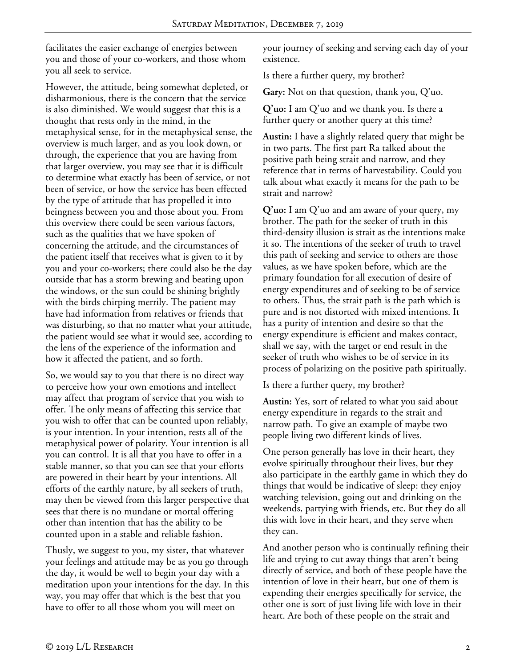facilitates the easier exchange of energies between you and those of your co-workers, and those whom you all seek to service.

However, the attitude, being somewhat depleted, or disharmonious, there is the concern that the service is also diminished. We would suggest that this is a thought that rests only in the mind, in the metaphysical sense, for in the metaphysical sense, the overview is much larger, and as you look down, or through, the experience that you are having from that larger overview, you may see that it is difficult to determine what exactly has been of service, or not been of service, or how the service has been effected by the type of attitude that has propelled it into beingness between you and those about you. From this overview there could be seen various factors, such as the qualities that we have spoken of concerning the attitude, and the circumstances of the patient itself that receives what is given to it by you and your co-workers; there could also be the day outside that has a storm brewing and beating upon the windows, or the sun could be shining brightly with the birds chirping merrily. The patient may have had information from relatives or friends that was disturbing, so that no matter what your attitude, the patient would see what it would see, according to the lens of the experience of the information and how it affected the patient, and so forth.

So, we would say to you that there is no direct way to perceive how your own emotions and intellect may affect that program of service that you wish to offer. The only means of affecting this service that you wish to offer that can be counted upon reliably, is your intention. In your intention, rests all of the metaphysical power of polarity. Your intention is all you can control. It is all that you have to offer in a stable manner, so that you can see that your efforts are powered in their heart by your intentions. All efforts of the earthly nature, by all seekers of truth, may then be viewed from this larger perspective that sees that there is no mundane or mortal offering other than intention that has the ability to be counted upon in a stable and reliable fashion.

Thusly, we suggest to you, my sister, that whatever your feelings and attitude may be as you go through the day, it would be well to begin your day with a meditation upon your intentions for the day. In this way, you may offer that which is the best that you have to offer to all those whom you will meet on

your journey of seeking and serving each day of your existence.

Is there a further query, my brother?

**Gary:** Not on that question, thank you, Q'uo.

**Q'uo:** I am Q'uo and we thank you. Is there a further query or another query at this time?

**Austin:** I have a slightly related query that might be in two parts. The first part Ra talked about the positive path being strait and narrow, and they reference that in terms of harvestability. Could you talk about what exactly it means for the path to be strait and narrow?

**Q'uo:** I am Q'uo and am aware of your query, my brother. The path for the seeker of truth in this third-density illusion is strait as the intentions make it so. The intentions of the seeker of truth to travel this path of seeking and service to others are those values, as we have spoken before, which are the primary foundation for all execution of desire of energy expenditures and of seeking to be of service to others. Thus, the strait path is the path which is pure and is not distorted with mixed intentions. It has a purity of intention and desire so that the energy expenditure is efficient and makes contact, shall we say, with the target or end result in the seeker of truth who wishes to be of service in its process of polarizing on the positive path spiritually.

Is there a further query, my brother?

**Austin:** Yes, sort of related to what you said about energy expenditure in regards to the strait and narrow path. To give an example of maybe two people living two different kinds of lives.

One person generally has love in their heart, they evolve spiritually throughout their lives, but they also participate in the earthly game in which they do things that would be indicative of sleep: they enjoy watching television, going out and drinking on the weekends, partying with friends, etc. But they do all this with love in their heart, and they serve when they can.

And another person who is continually refining their life and trying to cut away things that aren't being directly of service, and both of these people have the intention of love in their heart, but one of them is expending their energies specifically for service, the other one is sort of just living life with love in their heart. Are both of these people on the strait and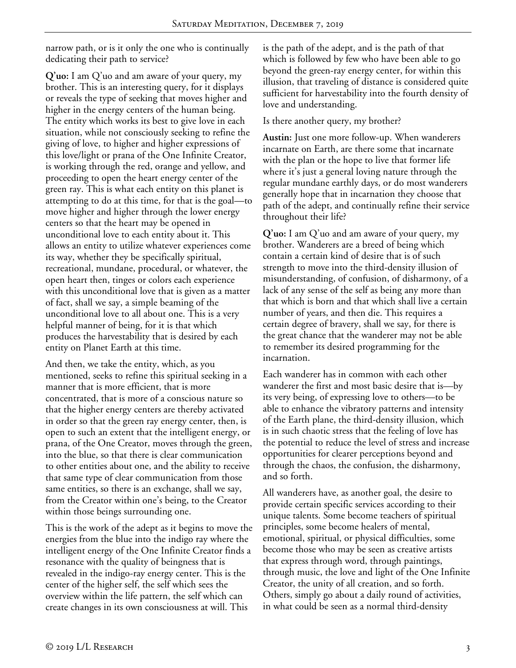narrow path, or is it only the one who is continually dedicating their path to service?

**Q'uo:** I am Q'uo and am aware of your query, my brother. This is an interesting query, for it displays or reveals the type of seeking that moves higher and higher in the energy centers of the human being. The entity which works its best to give love in each situation, while not consciously seeking to refine the giving of love, to higher and higher expressions of this love/light or prana of the One Infinite Creator, is working through the red, orange and yellow, and proceeding to open the heart energy center of the green ray. This is what each entity on this planet is attempting to do at this time, for that is the goal—to move higher and higher through the lower energy centers so that the heart may be opened in unconditional love to each entity about it. This allows an entity to utilize whatever experiences come its way, whether they be specifically spiritual, recreational, mundane, procedural, or whatever, the open heart then, tinges or colors each experience with this unconditional love that is given as a matter of fact, shall we say, a simple beaming of the unconditional love to all about one. This is a very helpful manner of being, for it is that which produces the harvestability that is desired by each entity on Planet Earth at this time.

And then, we take the entity, which, as you mentioned, seeks to refine this spiritual seeking in a manner that is more efficient, that is more concentrated, that is more of a conscious nature so that the higher energy centers are thereby activated in order so that the green ray energy center, then, is open to such an extent that the intelligent energy, or prana, of the One Creator, moves through the green, into the blue, so that there is clear communication to other entities about one, and the ability to receive that same type of clear communication from those same entities, so there is an exchange, shall we say, from the Creator within one's being, to the Creator within those beings surrounding one.

This is the work of the adept as it begins to move the energies from the blue into the indigo ray where the intelligent energy of the One Infinite Creator finds a resonance with the quality of beingness that is revealed in the indigo-ray energy center. This is the center of the higher self, the self which sees the overview within the life pattern, the self which can create changes in its own consciousness at will. This

is the path of the adept, and is the path of that which is followed by few who have been able to go beyond the green-ray energy center, for within this illusion, that traveling of distance is considered quite sufficient for harvestability into the fourth density of love and understanding.

Is there another query, my brother?

**Austin:** Just one more follow-up. When wanderers incarnate on Earth, are there some that incarnate with the plan or the hope to live that former life where it's just a general loving nature through the regular mundane earthly days, or do most wanderers generally hope that in incarnation they choose that path of the adept, and continually refine their service throughout their life?

**Q'uo:** I am Q'uo and am aware of your query, my brother. Wanderers are a breed of being which contain a certain kind of desire that is of such strength to move into the third-density illusion of misunderstanding, of confusion, of disharmony, of a lack of any sense of the self as being any more than that which is born and that which shall live a certain number of years, and then die. This requires a certain degree of bravery, shall we say, for there is the great chance that the wanderer may not be able to remember its desired programming for the incarnation.

Each wanderer has in common with each other wanderer the first and most basic desire that is—by its very being, of expressing love to others—to be able to enhance the vibratory patterns and intensity of the Earth plane, the third-density illusion, which is in such chaotic stress that the feeling of love has the potential to reduce the level of stress and increase opportunities for clearer perceptions beyond and through the chaos, the confusion, the disharmony, and so forth.

All wanderers have, as another goal, the desire to provide certain specific services according to their unique talents. Some become teachers of spiritual principles, some become healers of mental, emotional, spiritual, or physical difficulties, some become those who may be seen as creative artists that express through word, through paintings, through music, the love and light of the One Infinite Creator, the unity of all creation, and so forth. Others, simply go about a daily round of activities, in what could be seen as a normal third-density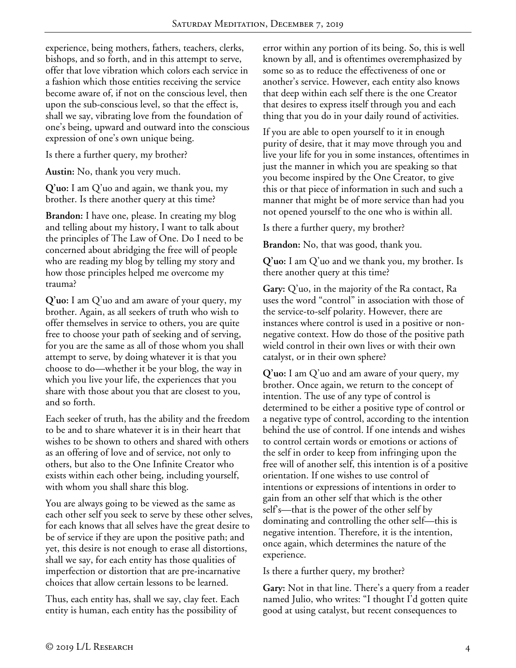experience, being mothers, fathers, teachers, clerks, bishops, and so forth, and in this attempt to serve, offer that love vibration which colors each service in a fashion which those entities receiving the service become aware of, if not on the conscious level, then upon the sub-conscious level, so that the effect is, shall we say, vibrating love from the foundation of one's being, upward and outward into the conscious expression of one's own unique being.

Is there a further query, my brother?

**Austin:** No, thank you very much.

**Q'uo:** I am Q'uo and again, we thank you, my brother. Is there another query at this time?

**Brandon:** I have one, please. In creating my blog and telling about my history, I want to talk about the principles of The Law of One. Do I need to be concerned about abridging the free will of people who are reading my blog by telling my story and how those principles helped me overcome my trauma?

**Q'uo:** I am Q'uo and am aware of your query, my brother. Again, as all seekers of truth who wish to offer themselves in service to others, you are quite free to choose your path of seeking and of serving, for you are the same as all of those whom you shall attempt to serve, by doing whatever it is that you choose to do—whether it be your blog, the way in which you live your life, the experiences that you share with those about you that are closest to you, and so forth.

Each seeker of truth, has the ability and the freedom to be and to share whatever it is in their heart that wishes to be shown to others and shared with others as an offering of love and of service, not only to others, but also to the One Infinite Creator who exists within each other being, including yourself, with whom you shall share this blog.

You are always going to be viewed as the same as each other self you seek to serve by these other selves, for each knows that all selves have the great desire to be of service if they are upon the positive path; and yet, this desire is not enough to erase all distortions, shall we say, for each entity has those qualities of imperfection or distortion that are pre-incarnative choices that allow certain lessons to be learned.

Thus, each entity has, shall we say, clay feet. Each entity is human, each entity has the possibility of

error within any portion of its being. So, this is well known by all, and is oftentimes overemphasized by some so as to reduce the effectiveness of one or another's service. However, each entity also knows that deep within each self there is the one Creator that desires to express itself through you and each thing that you do in your daily round of activities.

If you are able to open yourself to it in enough purity of desire, that it may move through you and live your life for you in some instances, oftentimes in just the manner in which you are speaking so that you become inspired by the One Creator, to give this or that piece of information in such and such a manner that might be of more service than had you not opened yourself to the one who is within all.

Is there a further query, my brother?

**Brandon:** No, that was good, thank you.

**Q'uo:** I am Q'uo and we thank you, my brother. Is there another query at this time?

**Gary:** Q'uo, in the majority of the Ra contact, Ra uses the word "control" in association with those of the service-to-self polarity. However, there are instances where control is used in a positive or nonnegative context. How do those of the positive path wield control in their own lives or with their own catalyst, or in their own sphere?

**Q'uo:** I am Q'uo and am aware of your query, my brother. Once again, we return to the concept of intention. The use of any type of control is determined to be either a positive type of control or a negative type of control, according to the intention behind the use of control. If one intends and wishes to control certain words or emotions or actions of the self in order to keep from infringing upon the free will of another self, this intention is of a positive orientation. If one wishes to use control of intentions or expressions of intentions in order to gain from an other self that which is the other self's—that is the power of the other self by dominating and controlling the other self—this is negative intention. Therefore, it is the intention, once again, which determines the nature of the experience.

Is there a further query, my brother?

**Gary:** Not in that line. There's a query from a reader named Julio, who writes: "I thought I'd gotten quite good at using catalyst, but recent consequences to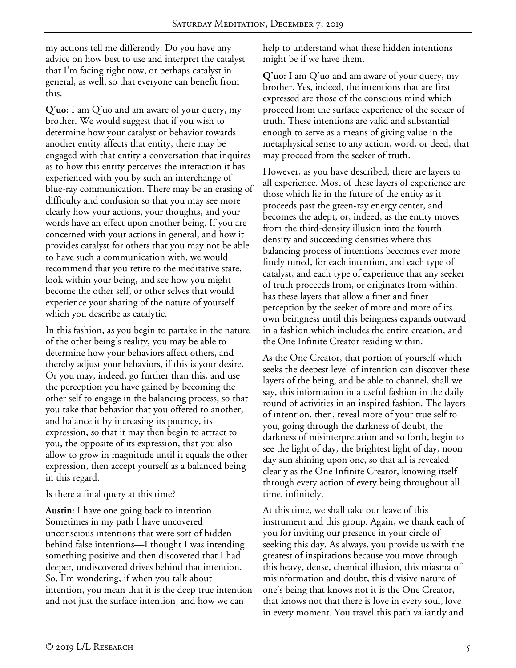my actions tell me differently. Do you have any advice on how best to use and interpret the catalyst that I'm facing right now, or perhaps catalyst in general, as well, so that everyone can benefit from this.

**Q'uo:** I am Q'uo and am aware of your query, my brother. We would suggest that if you wish to determine how your catalyst or behavior towards another entity affects that entity, there may be engaged with that entity a conversation that inquires as to how this entity perceives the interaction it has experienced with you by such an interchange of blue-ray communication. There may be an erasing of difficulty and confusion so that you may see more clearly how your actions, your thoughts, and your words have an effect upon another being. If you are concerned with your actions in general, and how it provides catalyst for others that you may not be able to have such a communication with, we would recommend that you retire to the meditative state, look within your being, and see how you might become the other self, or other selves that would experience your sharing of the nature of yourself which you describe as catalytic.

In this fashion, as you begin to partake in the nature of the other being's reality, you may be able to determine how your behaviors affect others, and thereby adjust your behaviors, if this is your desire. Or you may, indeed, go further than this, and use the perception you have gained by becoming the other self to engage in the balancing process, so that you take that behavior that you offered to another, and balance it by increasing its potency, its expression, so that it may then begin to attract to you, the opposite of its expression, that you also allow to grow in magnitude until it equals the other expression, then accept yourself as a balanced being in this regard.

## Is there a final query at this time?

**Austin:** I have one going back to intention. Sometimes in my path I have uncovered unconscious intentions that were sort of hidden behind false intentions—I thought I was intending something positive and then discovered that I had deeper, undiscovered drives behind that intention. So, I'm wondering, if when you talk about intention, you mean that it is the deep true intention and not just the surface intention, and how we can

help to understand what these hidden intentions might be if we have them.

**Q'uo:** I am Q'uo and am aware of your query, my brother. Yes, indeed, the intentions that are first expressed are those of the conscious mind which proceed from the surface experience of the seeker of truth. These intentions are valid and substantial enough to serve as a means of giving value in the metaphysical sense to any action, word, or deed, that may proceed from the seeker of truth.

However, as you have described, there are layers to all experience. Most of these layers of experience are those which lie in the future of the entity as it proceeds past the green-ray energy center, and becomes the adept, or, indeed, as the entity moves from the third-density illusion into the fourth density and succeeding densities where this balancing process of intentions becomes ever more finely tuned, for each intention, and each type of catalyst, and each type of experience that any seeker of truth proceeds from, or originates from within, has these layers that allow a finer and finer perception by the seeker of more and more of its own beingness until this beingness expands outward in a fashion which includes the entire creation, and the One Infinite Creator residing within.

As the One Creator, that portion of yourself which seeks the deepest level of intention can discover these layers of the being, and be able to channel, shall we say, this information in a useful fashion in the daily round of activities in an inspired fashion. The layers of intention, then, reveal more of your true self to you, going through the darkness of doubt, the darkness of misinterpretation and so forth, begin to see the light of day, the brightest light of day, noon day sun shining upon one, so that all is revealed clearly as the One Infinite Creator, knowing itself through every action of every being throughout all time, infinitely.

At this time, we shall take our leave of this instrument and this group. Again, we thank each of you for inviting our presence in your circle of seeking this day. As always, you provide us with the greatest of inspirations because you move through this heavy, dense, chemical illusion, this miasma of misinformation and doubt, this divisive nature of one's being that knows not it is the One Creator, that knows not that there is love in every soul, love in every moment. You travel this path valiantly and